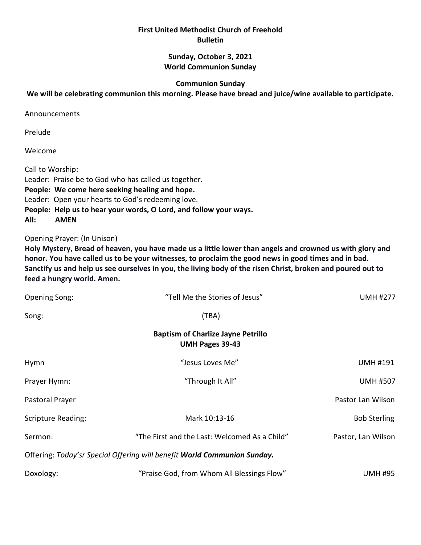### **First United Methodist Church of Freehold Bulletin**

### **Sunday, October 3, 2021 World Communion Sunday**

#### **Communion Sunday**

### **We will be celebrating communion this morning. Please have bread and juice/wine available to participate.**

Announcements

Prelude

Welcome

Call to Worship: Leader: Praise be to God who has called us together. **People: We come here seeking healing and hope.** Leader: Open your hearts to God's redeeming love. **People: Help us to hear your words, O Lord, and follow your ways. All: AMEN**

Opening Prayer: (In Unison)

**Holy Mystery, Bread of heaven, you have made us a little lower than angels and crowned us with glory and honor. You have called us to be your witnesses, to proclaim the good news in good times and in bad. Sanctify us and help us see ourselves in you, the living body of the risen Christ, broken and poured out to feed a hungry world. Amen.**

| <b>Opening Song:</b>                                                     | "Tell Me the Stories of Jesus"                | <b>UMH #277</b>     |  |
|--------------------------------------------------------------------------|-----------------------------------------------|---------------------|--|
| Song:                                                                    | (TBA)                                         |                     |  |
| <b>Baptism of Charlize Jayne Petrillo</b><br><b>UMH Pages 39-43</b>      |                                               |                     |  |
| Hymn                                                                     | "Jesus Loves Me"                              | <b>UMH #191</b>     |  |
| Prayer Hymn:                                                             | "Through It All"                              | <b>UMH #507</b>     |  |
| Pastoral Prayer                                                          |                                               | Pastor Lan Wilson   |  |
| <b>Scripture Reading:</b>                                                | Mark 10:13-16                                 | <b>Bob Sterling</b> |  |
| Sermon:                                                                  | "The First and the Last: Welcomed As a Child" | Pastor, Lan Wilson  |  |
| Offering: Today'sr Special Offering will benefit World Communion Sunday. |                                               |                     |  |
| Doxology:                                                                | "Praise God, from Whom All Blessings Flow"    | <b>UMH #95</b>      |  |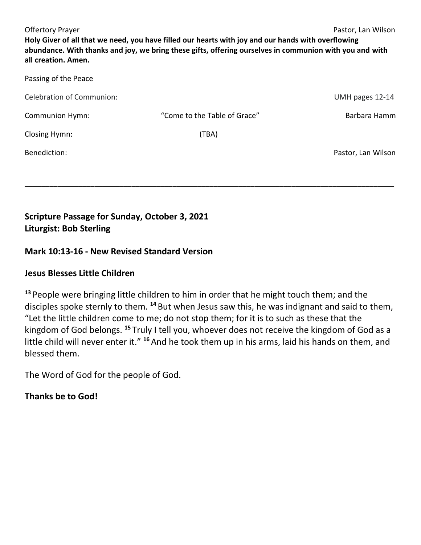| <b>Offertory Prayer</b><br>Pastor, Lan Wilson<br>Holy Giver of all that we need, you have filled our hearts with joy and our hands with overflowing<br>abundance. With thanks and joy, we bring these gifts, offering ourselves in communion with you and with<br>all creation. Amen. |                              |                    |  |
|---------------------------------------------------------------------------------------------------------------------------------------------------------------------------------------------------------------------------------------------------------------------------------------|------------------------------|--------------------|--|
| Passing of the Peace                                                                                                                                                                                                                                                                  |                              |                    |  |
| <b>Celebration of Communion:</b>                                                                                                                                                                                                                                                      |                              | UMH pages 12-14    |  |
| <b>Communion Hymn:</b>                                                                                                                                                                                                                                                                | "Come to the Table of Grace" | Barbara Hamm       |  |
| Closing Hymn:                                                                                                                                                                                                                                                                         | (TBA)                        |                    |  |
| Benediction:                                                                                                                                                                                                                                                                          |                              | Pastor, Lan Wilson |  |

\_\_\_\_\_\_\_\_\_\_\_\_\_\_\_\_\_\_\_\_\_\_\_\_\_\_\_\_\_\_\_\_\_\_\_\_\_\_\_\_\_\_\_\_\_\_\_\_\_\_\_\_\_\_\_\_\_\_\_\_\_\_\_\_\_\_\_\_\_\_\_\_\_\_\_\_\_\_\_\_\_\_\_\_\_\_\_\_\_\_

# **Scripture Passage for Sunday, October 3, 2021 Liturgist: Bob Sterling**

## **Mark 10:13-16 - New Revised Standard Version**

## **Jesus Blesses Little Children**

**<sup>13</sup>** People were bringing little children to him in order that he might touch them; and the disciples spoke sternly to them. **<sup>14</sup>** But when Jesus saw this, he was indignant and said to them, "Let the little children come to me; do not stop them; for it is to such as these that the kingdom of God belongs. **<sup>15</sup>** Truly I tell you, whoever does not receive the kingdom of God as a little child will never enter it." **<sup>16</sup>** And he took them up in his arms, laid his hands on them, and blessed them.

The Word of God for the people of God.

# **Thanks be to God!**